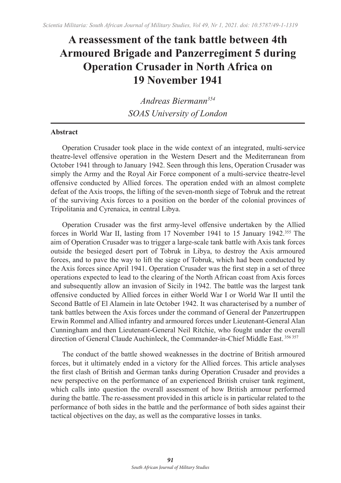# **A reassessment of the tank battle between 4th Armoured Brigade and Panzerregiment 5 during Operation Crusader in North Africa on 19 November 1941**

*Andreas Biermann354 SOAS University of London*

# **Abstract**

Operation Crusader took place in the wide context of an integrated, multi-service theatre-level offensive operation in the Western Desert and the Mediterranean from October 1941 through to January 1942. Seen through this lens, Operation Crusader was simply the Army and the Royal Air Force component of a multi-service theatre-level offensive conducted by Allied forces. The operation ended with an almost complete defeat of the Axis troops, the lifting of the seven-month siege of Tobruk and the retreat of the surviving Axis forces to a position on the border of the colonial provinces of Tripolitania and Cyrenaica, in central Libya.

Operation Crusader was the first army-level offensive undertaken by the Allied forces in World War II, lasting from 17 November 1941 to 15 January 1942.355 The aim of Operation Crusader was to trigger a large-scale tank battle with Axis tank forces outside the besieged desert port of Tobruk in Libya, to destroy the Axis armoured forces, and to pave the way to lift the siege of Tobruk, which had been conducted by the Axis forces since April 1941. Operation Crusader was the first step in a set of three operations expected to lead to the clearing of the North African coast from Axis forces and subsequently allow an invasion of Sicily in 1942. The battle was the largest tank offensive conducted by Allied forces in either World War I or World War II until the Second Battle of El Alamein in late October 1942. It was characterised by a number of tank battles between the Axis forces under the command of General der Panzertruppen Erwin Rommel and Allied infantry and armoured forces under Lieutenant-General Alan Cunningham and then Lieutenant-General Neil Ritchie, who fought under the overall direction of General Claude Auchinleck, the Commander-in-Chief Middle East. <sup>356</sup> <sup>357</sup>

The conduct of the battle showed weaknesses in the doctrine of British armoured forces, but it ultimately ended in a victory for the Allied forces. This article analyses the first clash of British and German tanks during Operation Crusader and provides a new perspective on the performance of an experienced British cruiser tank regiment, which calls into question the overall assessment of how British armour performed during the battle. The re-assessment provided in this article is in particular related to the performance of both sides in the battle and the performance of both sides against their tactical objectives on the day, as well as the comparative losses in tanks.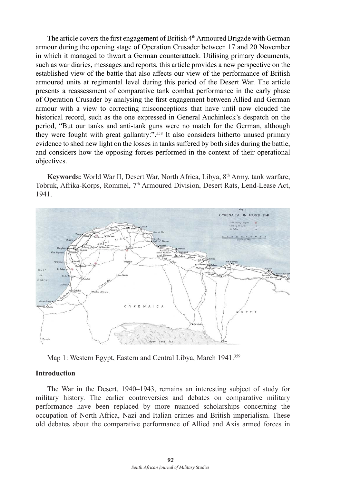The article covers the first engagement of British 4th Armoured Brigade with German armour during the opening stage of Operation Crusader between 17 and 20 November in which it managed to thwart a German counterattack. Utilising primary documents, such as war diaries, messages and reports, this article provides a new perspective on the established view of the battle that also affects our view of the performance of British armoured units at regimental level during this period of the Desert War. The article presents a reassessment of comparative tank combat performance in the early phase of Operation Crusader by analysing the first engagement between Allied and German armour with a view to correcting misconceptions that have until now clouded the historical record, such as the one expressed in General Auchinleck's despatch on the period, "But our tanks and anti-tank guns were no match for the German, although they were fought with great gallantry:".358 It also considers hitherto unused primary evidence to shed new light on the losses in tanks suffered by both sides during the battle, and considers how the opposing forces performed in the context of their operational objectives.

**Keywords:** World War II, Desert War, North Africa, Libya, 8th Army, tank warfare, Tobruk, Afrika-Korps, Rommel, 7<sup>th</sup> Armoured Division, Desert Rats, Lend-Lease Act, 1941.



Map 1: Western Egypt, Eastern and Central Libya, March 1941.<sup>359</sup>

#### **Introduction**

The War in the Desert, 1940–1943, remains an interesting subject of study for military history. The earlier controversies and debates on comparative military performance have been replaced by more nuanced scholarships concerning the occupation of North Africa, Nazi and Italian crimes and British imperialism. These old debates about the comparative performance of Allied and Axis armed forces in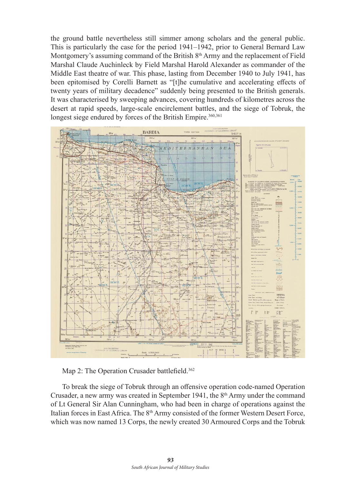the ground battle nevertheless still simmer among scholars and the general public. This is particularly the case for the period 1941–1942, prior to General Bernard Law Montgomery's assuming command of the British  $8<sup>th</sup>$  Army and the replacement of Field Marshal Claude Auchinleck by Field Marshal Harold Alexander as commander of the Middle East theatre of war. This phase, lasting from December 1940 to July 1941, has been epitomised by Corelli Barnett as "[t]he cumulative and accelerating effects of twenty years of military decadence" suddenly being presented to the British generals. It was characterised by sweeping advances, covering hundreds of kilometres across the desert at rapid speeds, large-scale encirclement battles, and the siege of Tobruk, the longest siege endured by forces of the British Empire.<sup>360,361</sup>



Map 2: The Operation Crusader battlefield.<sup>362</sup>

To break the siege of Tobruk through an offensive operation code-named Operation Crusader, a new army was created in September 1941, the  $8<sup>th</sup>$  Army under the command of Lt General Sir Alan Cunningham, who had been in charge of operations against the Italian forces in East Africa. The 8<sup>th</sup> Army consisted of the former Western Desert Force, which was now named 13 Corps, the newly created 30 Armoured Corps and the Tobruk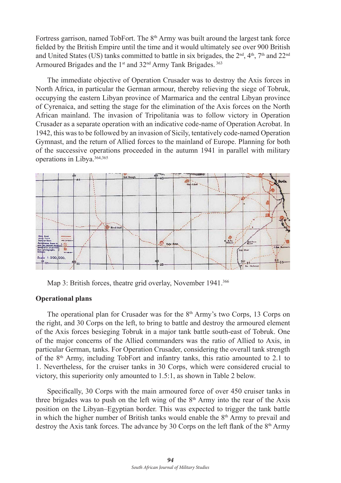Fortress garrison, named TobFort. The  $8<sup>th</sup>$  Army was built around the largest tank force fielded by the British Empire until the time and it would ultimately see over 900 British and United States (US) tanks committed to battle in six brigades, the  $2<sup>nd</sup>$ ,  $4<sup>th</sup>$ ,  $7<sup>th</sup>$  and  $22<sup>nd</sup>$ Armoured Brigades and the 1<sup>st</sup> and 32<sup>nd</sup> Army Tank Brigades.<sup>363</sup>

The immediate objective of Operation Crusader was to destroy the Axis forces in North Africa, in particular the German armour, thereby relieving the siege of Tobruk, occupying the eastern Libyan province of Marmarica and the central Libyan province of Cyrenaica, and setting the stage for the elimination of the Axis forces on the North African mainland. The invasion of Tripolitania was to follow victory in Operation Crusader as a separate operation with an indicative code-name of Operation Acrobat. In 1942, this was to be followed by an invasion of Sicily, tentatively code-named Operation Gymnast, and the return of Allied forces to the mainland of Europe. Planning for both of the successive operations proceeded in the autumn 1941 in parallel with military operations in Libya.364,<sup>365</sup>



Map 3: British forces, theatre grid overlay, November 1941.<sup>366</sup>

# **Operational plans**

The operational plan for Crusader was for the  $8<sup>th</sup>$  Army's two Corps, 13 Corps on the right, and 30 Corps on the left, to bring to battle and destroy the armoured element of the Axis forces besieging Tobruk in a major tank battle south-east of Tobruk. One of the major concerns of the Allied commanders was the ratio of Allied to Axis, in particular German, tanks. For Operation Crusader, considering the overall tank strength of the 8th Army, including TobFort and infantry tanks, this ratio amounted to 2.1 to 1. Nevertheless, for the cruiser tanks in 30 Corps, which were considered crucial to victory, this superiority only amounted to 1.5:1, as shown in Table 2 below.

Specifically, 30 Corps with the main armoured force of over 450 cruiser tanks in three brigades was to push on the left wing of the  $8<sup>th</sup>$  Army into the rear of the Axis position on the Libyan–Egyptian border. This was expected to trigger the tank battle in which the higher number of British tanks would enable the  $8<sup>th</sup>$  Army to prevail and destroy the Axis tank forces. The advance by 30 Corps on the left flank of the  $8<sup>th</sup>$  Army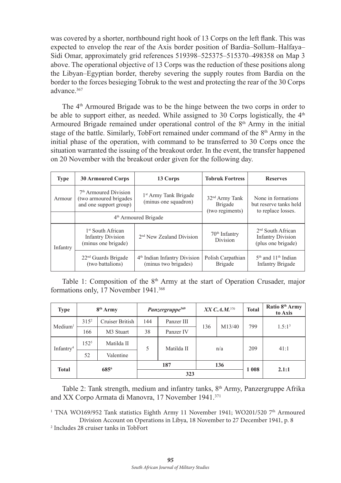was covered by a shorter, northbound right hook of 13 Corps on the left flank. This was expected to envelop the rear of the Axis border position of Bardia–Sollum–Halfaya– Sidi Omar, approximately grid references 519398–525375–515370–498358 on Map 3 above. The operational objective of 13 Corps was the reduction of these positions along the Libyan–Egyptian border, thereby severing the supply routes from Bardia on the border to the forces besieging Tobruk to the west and protecting the rear of the 30 Corps advance.367

The 4th Armoured Brigade was to be the hinge between the two corps in order to be able to support either, as needed. While assigned to 30 Corps logistically, the  $4<sup>th</sup>$ Armoured Brigade remained under operational control of the 8<sup>th</sup> Army in the initial stage of the battle. Similarly, TobFort remained under command of the  $8<sup>th</sup>$  Army in the initial phase of the operation, with command to be transferred to 30 Corps once the situation warranted the issuing of the breakout order. In the event, the transfer happened on 20 November with the breakout order given for the following day.

| <b>Type</b> | <b>30 Armoured Corps</b>                                                               | 13 Corps                                                         | <b>Tobruk Fortress</b>                                   | <b>Reserves</b>                                                       |  |
|-------------|----------------------------------------------------------------------------------------|------------------------------------------------------------------|----------------------------------------------------------|-----------------------------------------------------------------------|--|
| Armour      | 7 <sup>th</sup> Armoured Division<br>(two armoured brigades)<br>and one support group) | 1 <sup>st</sup> Army Tank Brigade<br>(minus one squadron)        | 32 <sup>nd</sup> Army Tank<br>Brigade<br>(two regiments) | None in formations<br>but reserve tanks held<br>to replace losses.    |  |
|             |                                                                                        | 4 <sup>th</sup> Armoured Brigade                                 |                                                          |                                                                       |  |
| Infantry    | 1 <sup>st</sup> South African<br><b>Infantry Division</b><br>(minus one brigade)       | 2 <sup>nd</sup> New Zealand Division                             | $70th$ Infantry<br><b>Division</b>                       | $2nd$ South African<br><b>Infantry Division</b><br>(plus one brigade) |  |
|             | $22nd$ Guards Brigade<br>(two battalions)                                              | 4 <sup>th</sup> Indian Infantry Division<br>(minus two brigades) | Polish Carpathian<br>Brigade                             | $5th$ and $11th$ Indian<br><b>Infantry Brigade</b>                    |  |

Table 1: Composition of the  $8<sup>th</sup>$  Army at the start of Operation Crusader, major formations only, 17 November 1941.<sup>368</sup>

| <b>Type</b>            |           | $8th$ Army      | Panzergruppe <sup>369</sup> |            | $XX$ C.A.M. <sup>370</sup> |        | <b>Total</b> | Ratio 8 <sup>th</sup> Army<br>to Axis |
|------------------------|-----------|-----------------|-----------------------------|------------|----------------------------|--------|--------------|---------------------------------------|
| $M$ edium <sup>1</sup> | $315^2$   | Cruiser British | 144                         | Panzer III | 136                        | M13/40 | 799          | 1.5:1 <sup>3</sup>                    |
|                        | 166       | M3 Stuart       | 38                          | Panzer IV  |                            |        |              |                                       |
| Infantry <sup>4</sup>  | $152^{5}$ | Matilda II      | 5                           | Matilda II | n/a                        |        | 209          | 41:1                                  |
|                        | 52        | Valentine       |                             |            |                            |        |              |                                       |
| Total                  | 6856      |                 | 187<br>136                  |            |                            | 1 008  | 2.1:1        |                                       |
|                        |           |                 | 323                         |            |                            |        |              |                                       |

Table 2: Tank strength, medium and infantry tanks, 8th Army, Panzergruppe Afrika and XX Corpo Armata di Manovra, 17 November 1941.<sup>371</sup>

<sup>1</sup> TNA WO169/952 Tank statistics Eighth Army 11 November 1941; WO201/520 7<sup>th</sup> Armoured Division Account on Operations in Libya, 18 November to 27 December 1941, p. 8

2 Includes 28 cruiser tanks in TobFort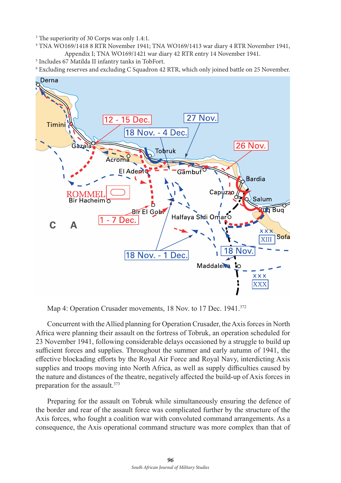3 The superiority of 30 Corps was only 1.4:1.

4 TNA WO169/1418 8 RTR November 1941; TNA WO169/1413 war diary 4 RTR November 1941, Appendix I; TNA WO169/1421 war diary 42 RTR entry 14 November 1941. 5

<sup>5</sup> Includes 67 Matilda II infantry tanks in TobFort.

6 Excluding reserves and excluding C Squadron 42 RTR, which only joined battle on 25 November.



Map 4: Operation Crusader movements, 18 Nov. to 17 Dec. 1941.<sup>372</sup>

Concurrent with the Allied planning for Operation Crusader, the Axis forces in North Africa were planning their assault on the fortress of Tobruk, an operation scheduled for 23 November 1941, following considerable delays occasioned by a struggle to build up sufficient forces and supplies. Throughout the summer and early autumn of 1941, the effective blockading efforts by the Royal Air Force and Royal Navy, interdicting Axis supplies and troops moving into North Africa, as well as supply difficulties caused by the nature and distances of the theatre, negatively affected the build-up of Axis forces in preparation for the assault.<sup>373</sup>

Preparing for the assault on Tobruk while simultaneously ensuring the defence of the border and rear of the assault force was complicated further by the structure of the Axis forces, who fought a coalition war with convoluted command arrangements. As a consequence, the Axis operational command structure was more complex than that of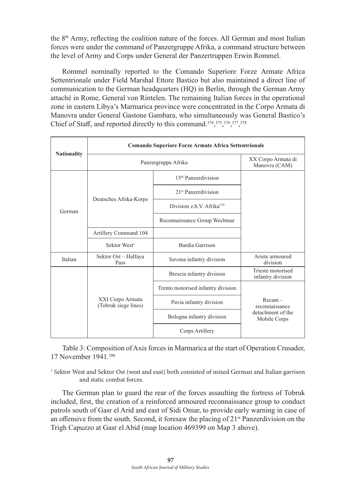the 8th Army, reflecting the coalition nature of the forces. All German and most Italian forces were under the command of Panzergruppe Afrika, a command structure between the level of Army and Corps under General der Panzertruppen Erwin Rommel.

Rommel nominally reported to the Comando Superiore Forze Armate Africa Settentrionale under Field Marshal Ettore Bastico but also maintained a direct line of communication to the German headquarters (HQ) in Berlin, through the German Army attaché in Rome, General von Rintelen. The remaining Italian forces in the operational zone in eastern Libya's Marmarica province were concentrated in the Corpo Armata di Manovra under General Gastone Gambara, who simultaneously was General Bastico's Chief of Staff, and reported directly to this command.<sup>374</sup>,<sup>375</sup>,<sup>376</sup>,<sup>377</sup>,<sup>378</sup>

|                    | <b>Comando Superiore Forze Armate Africa Settentrionale</b> |                                       |                                        |  |  |  |
|--------------------|-------------------------------------------------------------|---------------------------------------|----------------------------------------|--|--|--|
| <b>Nationality</b> | Panzergruppe Afrika                                         | XX Corpo Armata di<br>Manovra (CAM)   |                                        |  |  |  |
|                    |                                                             | 15 <sup>th</sup> Panzerdivision       |                                        |  |  |  |
|                    | Deutsches Afrika-Korps                                      | 21 <sup>st</sup> Panzerdivision       |                                        |  |  |  |
| German             |                                                             | Division z.b.V. Afrika <sup>379</sup> |                                        |  |  |  |
|                    |                                                             | Reconnaissance Group Wechmar          |                                        |  |  |  |
|                    | Artillery Command 104                                       |                                       |                                        |  |  |  |
|                    | Sektor West <sup>1</sup>                                    | Bardia Garrison                       |                                        |  |  |  |
| Italian            | Sektor Ost - Halfaya<br>Pass                                | Savona infantry division              | Ariete armoured<br>division            |  |  |  |
|                    |                                                             | Brescia infantry division             | Trieste motorised<br>infantry division |  |  |  |
|                    |                                                             | Trento motorised infantry division    |                                        |  |  |  |
|                    | XXI Corpo Armata<br>(Tobruk siege lines)                    | Pavia infantry division               | $Recam =$<br>reconnaissance            |  |  |  |
|                    |                                                             | Bologna infantry division             | detachment of the<br>Mobile Corps      |  |  |  |
|                    |                                                             | Corps Artillery                       |                                        |  |  |  |

Table 3: Composition of Axis forces in Marmarica at the start of Operation Crusader, 17 November 1941.380

1 Sektor West and Sektor Ost (west and east) both consisted of mixed German and Italian garrison and static combat forces.

The German plan to guard the rear of the forces assaulting the fortress of Tobruk included, first, the creation of a reinforced armoured reconnaissance group to conduct patrols south of Gasr el Arid and east of Sidi Omar, to provide early warning in case of an offensive from the south. Second, it foresaw the placing of  $21<sup>st</sup>$  Panzerdivision on the Trigh Capuzzo at Gasr el Abid (map location 469399 on Map 3 above).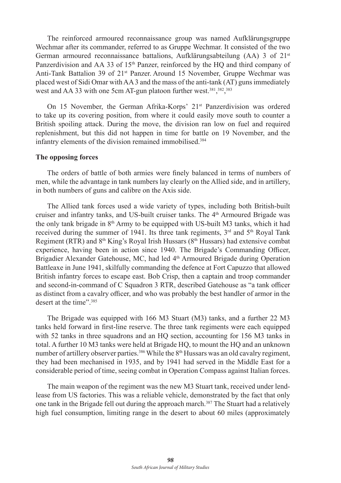The reinforced armoured reconnaissance group was named Aufklärungsgruppe Wechmar after its commander, referred to as Gruppe Wechmar. It consisted of the two German armoured reconnaissance battalions, Aufklärungsabteilung (AA) 3 of 21st Panzerdivision and AA 33 of 15<sup>th</sup> Panzer, reinforced by the HQ and third company of Anti-Tank Battalion 39 of 21<sup>st</sup> Panzer. Around 15 November, Gruppe Wechmar was placed west of Sidi Omar with AA 3 and the mass of the anti-tank (AT) guns immediately west and AA 33 with one 5cm AT-gun platoon further west.<sup>381</sup>,<sup>382</sup>,<sup>383</sup>

On 15 November, the German Afrika-Korps'  $21<sup>st</sup>$  Panzerdivision was ordered to take up its covering position, from where it could easily move south to counter a British spoiling attack. During the move, the division ran low on fuel and required replenishment, but this did not happen in time for battle on 19 November, and the infantry elements of the division remained immobilised.<sup>384</sup>

#### **The opposing forces**

The orders of battle of both armies were finely balanced in terms of numbers of men, while the advantage in tank numbers lay clearly on the Allied side, and in artillery, in both numbers of guns and calibre on the Axis side.

The Allied tank forces used a wide variety of types, including both British-built cruiser and infantry tanks, and US-built cruiser tanks. The  $4<sup>th</sup>$  Armoured Brigade was the only tank brigade in 8<sup>th</sup> Army to be equipped with US-built M3 tanks, which it had received during the summer of 1941. Its three tank regiments,  $3<sup>rd</sup>$  and  $5<sup>th</sup>$  Royal Tank Regiment (RTR) and  $8<sup>th</sup> King's Royal Irish Hussars (8<sup>th</sup> Hussars) had extensive combat$ experience, having been in action since 1940. The Brigade's Commanding Officer, Brigadier Alexander Gatehouse, MC, had led 4<sup>th</sup> Armoured Brigade during Operation Battleaxe in June 1941, skilfully commanding the defence at Fort Capuzzo that allowed British infantry forces to escape east. Bob Crisp, then a captain and troop commander and second-in-command of C Squadron 3 RTR, described Gatehouse as "a tank officer as distinct from a cavalry officer, and who was probably the best handler of armor in the desert at the time".<sup>385</sup>

The Brigade was equipped with 166 M3 Stuart (M3) tanks, and a further 22 M3 tanks held forward in first-line reserve. The three tank regiments were each equipped with 52 tanks in three squadrons and an HQ section, accounting for 156 M3 tanks in total. A further 10 M3 tanks were held at Brigade HQ, to mount the HQ and an unknown number of artillery observer parties.<sup>386</sup> While the 8<sup>th</sup> Hussars was an old cavalry regiment, they had been mechanised in 1935, and by 1941 had served in the Middle East for a considerable period of time, seeing combat in Operation Compass against Italian forces.

The main weapon of the regiment was the new M3 Stuart tank, received under lendlease from US factories. This was a reliable vehicle, demonstrated by the fact that only one tank in the Brigade fell out during the approach march.<sup>387</sup> The Stuart had a relatively high fuel consumption, limiting range in the desert to about 60 miles (approximately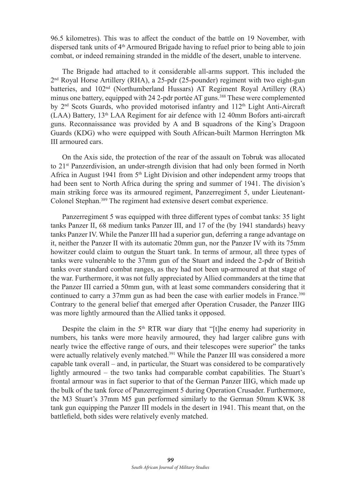96.5 kilometres). This was to affect the conduct of the battle on 19 November, with dispersed tank units of 4th Armoured Brigade having to refuel prior to being able to join combat, or indeed remaining stranded in the middle of the desert, unable to intervene.

The Brigade had attached to it considerable all-arms support. This included the  $2<sup>nd</sup>$  Royal Horse Artillery (RHA), a 25-pdr (25-pounder) regiment with two eight-gun batteries, and 102<sup>nd</sup> (Northumberland Hussars) AT Regiment Royal Artillery (RA) minus one battery, equipped with 24 2-pdr portée AT guns.<sup>388</sup> These were complemented by  $2<sup>nd</sup>$  Scots Guards, who provided motorised infantry and  $112<sup>th</sup>$  Light Anti-Aircraft  $(LAA)$  Battery,  $13<sup>th</sup> LAA$  Regiment for air defence with 12 40mm Bofors anti-aircraft guns. Reconnaissance was provided by A and B squadrons of the King's Dragoon Guards (KDG) who were equipped with South African-built Marmon Herrington Mk III armoured cars.

On the Axis side, the protection of the rear of the assault on Tobruk was allocated to 21<sup>st</sup> Panzerdivision, an under-strength division that had only been formed in North Africa in August 1941 from 5<sup>th</sup> Light Division and other independent army troops that had been sent to North Africa during the spring and summer of 1941. The division's main striking force was its armoured regiment, Panzerregiment 5, under Lieutenant-Colonel Stephan.<sup>389</sup> The regiment had extensive desert combat experience.

Panzerregiment 5 was equipped with three different types of combat tanks: 35 light tanks Panzer II, 68 medium tanks Panzer III, and 17 of the (by 1941 standards) heavy tanks Panzer IV. While the Panzer III had a superior gun, deferring a range advantage on it, neither the Panzer II with its automatic 20mm gun, nor the Panzer IV with its 75mm howitzer could claim to outgun the Stuart tank. In terms of armour, all three types of tanks were vulnerable to the 37mm gun of the Stuart and indeed the 2-pdr of British tanks over standard combat ranges, as they had not been up-armoured at that stage of the war. Furthermore, it was not fully appreciated by Allied commanders at the time that the Panzer III carried a 50mm gun, with at least some commanders considering that it continued to carry a 37mm gun as had been the case with earlier models in France.390 Contrary to the general belief that emerged after Operation Crusader, the Panzer IIIG was more lightly armoured than the Allied tanks it opposed.

Despite the claim in the  $5<sup>th</sup> RTR$  war diary that "[t]he enemy had superiority in numbers, his tanks were more heavily armoured, they had larger calibre guns with nearly twice the effective range of ours, and their telescopes were superior" the tanks were actually relatively evenly matched.<sup>391</sup> While the Panzer III was considered a more capable tank overall – and, in particular, the Stuart was considered to be comparatively lightly armoured – the two tanks had comparable combat capabilities. The Stuart's frontal armour was in fact superior to that of the German Panzer IIIG, which made up the bulk of the tank force of Panzerregiment 5 during Operation Crusader. Furthermore, the M3 Stuart's 37mm M5 gun performed similarly to the German 50mm KWK 38 tank gun equipping the Panzer III models in the desert in 1941. This meant that, on the battlefield, both sides were relatively evenly matched.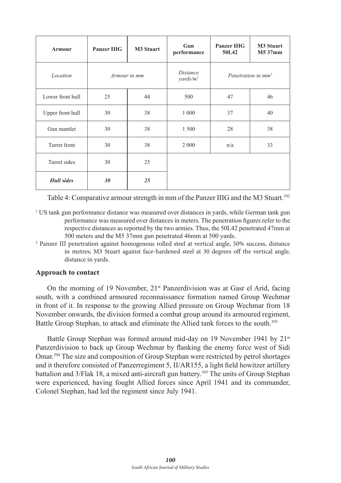| Armour                   | <b>Panzer IIIG</b> | <b>M3 Stuart</b>                                | Gun<br>performance             | <b>Panzer IIIG</b><br>50L42 | <b>M3 Stuart</b><br>M5 37mm |
|--------------------------|--------------------|-------------------------------------------------|--------------------------------|-----------------------------|-----------------------------|
| Location<br>Armour in mm |                    | <i>Distance</i><br>$\gamma$ ards/m <sup>1</sup> | Penetration in mm <sup>2</sup> |                             |                             |
| Lower front hull         | 25                 | 44                                              | 500                            | 47                          | 46                          |
| Upper front hull         | 30                 | 38                                              | 1 0 0 0                        | 37                          | 40                          |
| Gun mantlet              | 30                 | 38                                              | 1 500                          | 28                          | 38                          |
| Turret front             | 30                 | 38                                              | 2 0 0 0                        | n/a                         | 33                          |
| Turret sides             | 30                 | 25                                              |                                |                             |                             |
| <b>Hull</b> sides        | 30                 | 25                                              |                                |                             |                             |

Table 4: Comparative armour strength in mm of the Panzer IIIG and the M3 Stuart.<sup>392</sup>

- 1 US tank gun performance distance was measured over distances in yards, while German tank gun performance was measured over distances in meters. The penetration figures refer to the respective distances as reported by the two armies. Thus, the 50L42 penetrated 47mm at 500 meters and the M5 37mm gun penetrated 46mm at 500 yards.
- 2 Panzer III penetration against homogenous rolled steel at vertical angle, 50% success, distance in metres; M3 Stuart against face-hardened steel at 30 degrees off the vertical angle, distance in yards.

# **Approach to contact**

On the morning of 19 November,  $21^{st}$  Panzerdivision was at Gasr el Arid, facing south, with a combined armoured reconnaissance formation named Group Wechmar in front of it. In response to the growing Allied pressure on Group Wechmar from 18 November onwards, the division formed a combat group around its armoured regiment, Battle Group Stephan, to attack and eliminate the Allied tank forces to the south.<sup>393</sup>

Battle Group Stephan was formed around mid-day on 19 November 1941 by 21<sup>st</sup> Panzerdivision to back up Group Wechmar by flanking the enemy force west of Sidi Omar.394 The size and composition of Group Stephan were restricted by petrol shortages and it therefore consisted of Panzerregiment 5, II/AR155, a light field howitzer artillery battalion and 3/Flak 18, a mixed anti-aircraft gun battery.<sup>395</sup> The units of Group Stephan were experienced, having fought Allied forces since April 1941 and its commander, Colonel Stephan, had led the regiment since July 1941.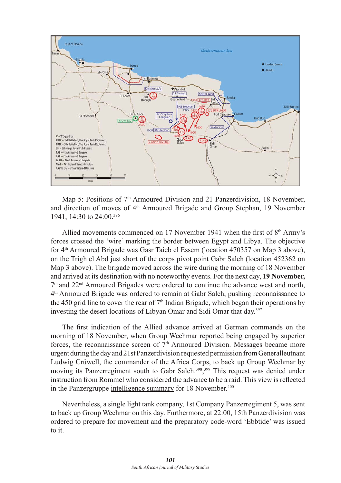

Map 5: Positions of 7<sup>th</sup> Armoured Division and 21 Panzerdivision, 18 November, and direction of moves of 4th Armoured Brigade and Group Stephan, 19 November 1941, 14:30 to 24:00.396

Allied movements commenced on 17 November 1941 when the first of  $8<sup>th</sup> Army's$ forces crossed the 'wire' marking the border between Egypt and Libya. The objective for 4th Armoured Brigade was Gasr Taieb el Essem (location 470357 on Map 3 above), on the Trigh el Abd just short of the corps pivot point Gabr Saleh (location 452362 on Map 3 above). The brigade moved across the wire during the morning of 18 November and arrived at its destination with no noteworthy events. For the next day, **19 November,**  7th and 22nd Armoured Brigades were ordered to continue the advance west and north, 4th Armoured Brigade was ordered to remain at Gabr Saleh, pushing reconnaissance to the 450 grid line to cover the rear of  $7<sup>th</sup>$  Indian Brigade, which began their operations by investing the desert locations of Libyan Omar and Sidi Omar that day. 397

The first indication of the Allied advance arrived at German commands on the morning of 18 November, when Group Wechmar reported being engaged by superior forces, the reconnaissance screen of  $7<sup>th</sup>$  Armoured Division. Messages became more urgent during the day and 21st Panzerdivision requested permission from Generalleutnant Ludwig Crüwell, the commander of the Africa Corps, to back up Group Wechmar by moving its Panzerregiment south to Gabr Saleh.398, 399 This request was denied under instruction from Rommel who considered the advance to be a raid. This view is reflected in the Panzergruppe intelligence summary for 18 November.<sup>400</sup>

Nevertheless, a single light tank company, 1st Company Panzerregiment 5, was sent to back up Group Wechmar on this day. Furthermore, at 22:00, 15th Panzerdivision was ordered to prepare for movement and the preparatory code-word 'Ebbtide' was issued to it.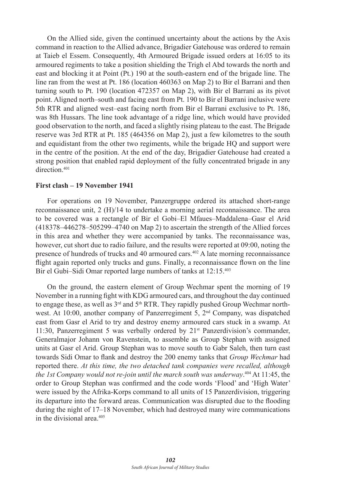On the Allied side, given the continued uncertainty about the actions by the Axis command in reaction to the Allied advance, Brigadier Gatehouse was ordered to remain at Taieb el Essem. Consequently, 4th Armoured Brigade issued orders at 16:05 to its armoured regiments to take a position shielding the Trigh el Abd towards the north and east and blocking it at Point (Pt.) 190 at the south-eastern end of the brigade line. The line ran from the west at Pt. 186 (location 460363 on Map 2) to Bir el Barrani and then turning south to Pt. 190 (location 472357 on Map 2), with Bir el Barrani as its pivot point. Aligned north–south and facing east from Pt. 190 to Bir el Barrani inclusive were 5th RTR and aligned west–east facing north from Bir el Barrani exclusive to Pt. 186, was 8th Hussars. The line took advantage of a ridge line, which would have provided good observation to the north, and faced a slightly rising plateau to the east. The Brigade reserve was 3rd RTR at Pt. 185 (464356 on Map 2), just a few kilometres to the south and equidistant from the other two regiments, while the brigade HQ and support were in the centre of the position. At the end of the day, Brigadier Gatehouse had created a strong position that enabled rapid deployment of the fully concentrated brigade in any direction<sup>401</sup>

#### **First clash – 19 November 1941**

For operations on 19 November, Panzergruppe ordered its attached short-range reconnaissance unit, 2 (H)/14 to undertake a morning aerial reconnaissance. The area to be covered was a rectangle of Bir el Gobi–El Mfaues–Maddalena–Gasr el Arid (418378–446278–505299–4740 on Map 2) to ascertain the strength of the Allied forces in this area and whether they were accompanied by tanks. The reconnaissance was, however, cut short due to radio failure, and the results were reported at 09:00, noting the presence of hundreds of trucks and 40 armoured cars.402 A late morning reconnaissance flight again reported only trucks and guns. Finally, a reconnaissance flown on the line Bir el Gubi–Sidi Omar reported large numbers of tanks at 12:15.403

On the ground, the eastern element of Group Wechmar spent the morning of 19 November in a running fight with KDG armoured cars, and throughout the day continued to engage these, as well as  $3<sup>rd</sup>$  and  $5<sup>th</sup> RTR$ . They rapidly pushed Group Wechmar northwest. At 10:00, another company of Panzerregiment 5, 2nd Company, was dispatched east from Gasr el Arid to try and destroy enemy armoured cars stuck in a swamp. At 11:30, Panzerregiment 5 was verbally ordered by 21<sup>st</sup> Panzerdivision's commander, Generalmajor Johann von Ravenstein, to assemble as Group Stephan with assigned units at Gasr el Arid. Group Stephan was to move south to Gabr Saleh, then turn east towards Sidi Omar to flank and destroy the 200 enemy tanks that *Group Wechmar* had reported there. *At this time, the two detached tank companies were recalled, although the 1st Company would not re-join until the march south was underway*. <sup>404</sup> At 11:45, the order to Group Stephan was confirmed and the code words 'Flood' and 'High Water' were issued by the Afrika-Korps command to all units of 15 Panzerdivision, triggering its departure into the forward areas. Communication was disrupted due to the flooding during the night of 17–18 November, which had destroyed many wire communications in the divisional area.405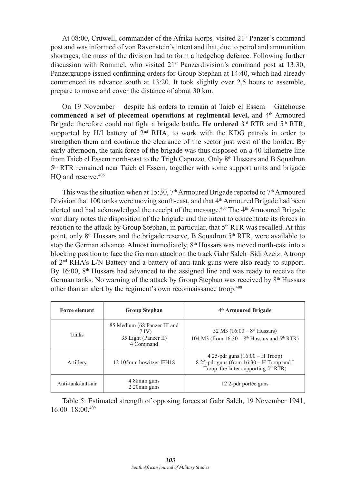At 08:00, Crüwell, commander of the Afrika-Korps, visited 21<sup>st</sup> Panzer's command post and was informed of von Ravenstein's intent and that, due to petrol and ammunition shortages, the mass of the division had to form a hedgehog defence. Following further discussion with Rommel, who visited  $21<sup>st</sup>$  Panzerdivision's command post at 13:30, Panzergruppe issued confirming orders for Group Stephan at 14:40, which had already commenced its advance south at 13:20. It took slightly over 2,5 hours to assemble, prepare to move and cover the distance of about 30 km.

On 19 November – despite his orders to remain at Taieb el Essem – Gatehouse commenced a set of piecemeal operations at regimental level, and 4<sup>th</sup> Armoured Brigade therefore could not fight a brigade battle. He ordered 3<sup>rd</sup> RTR and 5<sup>th</sup> RTR, supported by H/I battery of 2<sup>nd</sup> RHA, to work with the KDG patrols in order to strengthen them and continue the clearance of the sector just west of the border**. B**y early afternoon, the tank force of the brigade was thus disposed on a 40-kilometre line from Taieb el Essem north-east to the Trigh Capuzzo. Only 8<sup>th</sup> Hussars and B Squadron 5th RTR remained near Taieb el Essem, together with some support units and brigade HO and reserve.<sup>406</sup>

This was the situation when at 15:30,  $7<sup>th</sup>$  Armoured Brigade reported to  $7<sup>th</sup>$  Armoured Division that 100 tanks were moving south-east, and that  $4<sup>th</sup>$  Armoured Brigade had been alerted and had acknowledged the receipt of the message.<sup>407</sup> The  $4<sup>th</sup>$  Armoured Brigade war diary notes the disposition of the brigade and the intent to concentrate its forces in reaction to the attack by Group Stephan, in particular, that 5<sup>th</sup> RTR was recalled. At this point, only  $8<sup>th</sup>$  Hussars and the brigade reserve, B Squadron  $5<sup>th</sup>$  RTR, were available to stop the German advance. Almost immediately, 8<sup>th</sup> Hussars was moved north-east into a blocking position to face the German attack on the track Gabr Saleh–Sidi Azeiz. A troop of 2nd RHA's L/N Battery and a battery of anti-tank guns were also ready to support. By 16:00, 8th Hussars had advanced to the assigned line and was ready to receive the German tanks. No warning of the attack by Group Stephan was received by  $8<sup>th</sup>$  Hussars other than an alert by the regiment's own reconnaissance troop.408

| <b>Force element</b><br><b>Group Stephan</b> |                                                                               | 4 <sup>th</sup> Armoured Brigade                                                                                           |  |  |
|----------------------------------------------|-------------------------------------------------------------------------------|----------------------------------------------------------------------------------------------------------------------------|--|--|
| Tanks                                        | 85 Medium (68 Panzer III and<br>$17$ IV)<br>35 Light (Panzer II)<br>4 Command | 52 M3 $(16:00 - 8th Hussars)$<br>104 M3 (from $16:30 - 8$ <sup>th</sup> Hussars and $5$ <sup>th</sup> RTR)                 |  |  |
| Artillery                                    | 12 105mm howitzer IFH18                                                       | 4 25-pdr guns $(16:00 - H$ Troop)<br>8 25-pdr guns (from 16:30 – H Troop and I<br>Troop, the latter supporting $5th RTR$ ) |  |  |
| Anti-tank/anti-air                           | 4 88mm guns<br>$2.20$ mm guns                                                 | 12 2-pdr portée guns                                                                                                       |  |  |

Table 5: Estimated strength of opposing forces at Gabr Saleh, 19 November 1941,  $16:00-18:00.409$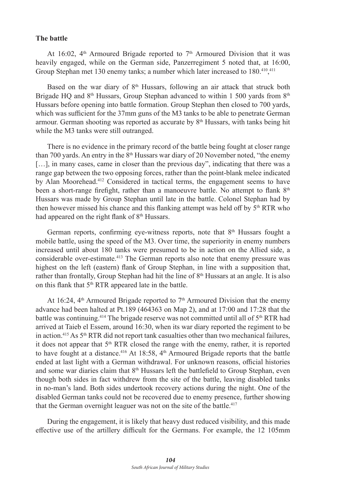#### **The battle**

At 16:02,  $4<sup>th</sup>$  Armoured Brigade reported to  $7<sup>th</sup>$  Armoured Division that it was heavily engaged, while on the German side, Panzerregiment 5 noted that, at 16:00, Group Stephan met 130 enemy tanks; a number which later increased to 180.<sup>410</sup>,<sup>411</sup>

Based on the war diary of  $8<sup>th</sup>$  Hussars, following an air attack that struck both Brigade HO and  $8<sup>th</sup>$  Hussars, Group Stephan advanced to within 1 500 yards from  $8<sup>th</sup>$ Hussars before opening into battle formation. Group Stephan then closed to 700 yards, which was sufficient for the 37mm guns of the M3 tanks to be able to penetrate German armour. German shooting was reported as accurate by 8<sup>th</sup> Hussars, with tanks being hit while the M3 tanks were still outranged.

There is no evidence in the primary record of the battle being fought at closer range than 700 yards. An entry in the  $8<sup>th</sup>$  Hussars war diary of 20 November noted, "the enemy [...], in many cases, came in closer than the previous day", indicating that there was a range gap between the two opposing forces, rather than the point-blank melee indicated by Alan Moorehead.412 Considered in tactical terms, the engagement seems to have been a short-range firefight, rather than a manoeuvre battle. No attempt to flank  $8<sup>th</sup>$ Hussars was made by Group Stephan until late in the battle. Colonel Stephan had by then however missed his chance and this flanking attempt was held off by 5<sup>th</sup> RTR who had appeared on the right flank of 8<sup>th</sup> Hussars.

German reports, confirming eye-witness reports, note that  $8<sup>th</sup>$  Hussars fought a mobile battle, using the speed of the M3. Over time, the superiority in enemy numbers increased until about 180 tanks were presumed to be in action on the Allied side, a considerable over-estimate.413 The German reports also note that enemy pressure was highest on the left (eastern) flank of Group Stephan, in line with a supposition that, rather than frontally, Group Stephan had hit the line of  $8<sup>th</sup>$  Hussars at an angle. It is also on this flank that 5<sup>th</sup> RTR appeared late in the battle.

At 16:24,  $4<sup>th</sup>$  Armoured Brigade reported to  $7<sup>th</sup>$  Armoured Division that the enemy advance had been halted at Pt.189 (464363 on Map 2), and at 17:00 and 17:28 that the battle was continuing.<sup>414</sup> The brigade reserve was not committed until all of 5<sup>th</sup> RTR had arrived at Taieb el Essem, around 16:30, when its war diary reported the regiment to be in action.<sup>415</sup> As 5<sup>th</sup> RTR did not report tank casualties other than two mechanical failures, it does not appear that  $5<sup>th</sup> RTR$  closed the range with the enemy, rather, it is reported to have fought at a distance.<sup>416</sup> At 18:58, 4<sup>th</sup> Armoured Brigade reports that the battle ended at last light with a German withdrawal. For unknown reasons, official histories and some war diaries claim that 8th Hussars left the battlefield to Group Stephan, even though both sides in fact withdrew from the site of the battle, leaving disabled tanks in no-man's land. Both sides undertook recovery actions during the night. One of the disabled German tanks could not be recovered due to enemy presence, further showing that the German overnight leaguer was not on the site of the battle.<sup>417</sup>

During the engagement, it is likely that heavy dust reduced visibility, and this made effective use of the artillery difficult for the Germans. For example, the 12 105mm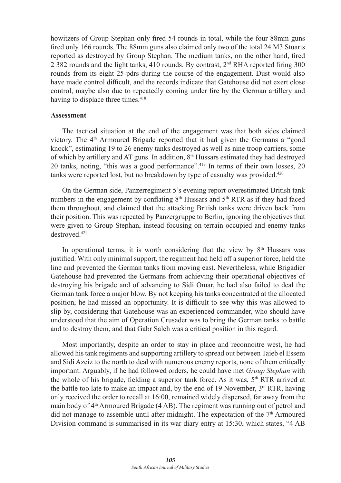howitzers of Group Stephan only fired 54 rounds in total, while the four 88mm guns fired only 166 rounds. The 88mm guns also claimed only two of the total 24 M3 Stuarts reported as destroyed by Group Stephan. The medium tanks, on the other hand, fired 2 382 rounds and the light tanks, 410 rounds. By contrast,  $2<sup>nd</sup> RHA$  reported firing 300 rounds from its eight 25-pdrs during the course of the engagement. Dust would also have made control difficult, and the records indicate that Gatehouse did not exert close control, maybe also due to repeatedly coming under fire by the German artillery and having to displace three times.<sup>418</sup>

# **Assessment**

The tactical situation at the end of the engagement was that both sides claimed victory. The  $4<sup>th</sup>$  Armoured Brigade reported that it had given the Germans a "good knock", estimating 19 to 26 enemy tanks destroyed as well as nine troop carriers, some of which by artillery and AT guns. In addition,  $8<sup>th</sup>$  Hussars estimated they had destroyed 20 tanks, noting, "this was a good performance".<sup>419</sup> In terms of their own losses, 20 tanks were reported lost, but no breakdown by type of casualty was provided.<sup>420</sup>

On the German side, Panzerregiment 5's evening report overestimated British tank numbers in the engagement by conflating  $8<sup>th</sup>$  Hussars and  $5<sup>th</sup>$  RTR as if they had faced them throughout, and claimed that the attacking British tanks were driven back from their position. This was repeated by Panzergruppe to Berlin, ignoring the objectives that were given to Group Stephan, instead focusing on terrain occupied and enemy tanks destroyed.421

In operational terms, it is worth considering that the view by  $8<sup>th</sup>$  Hussars was justified. With only minimal support, the regiment had held off a superior force, held the line and prevented the German tanks from moving east. Nevertheless, while Brigadier Gatehouse had prevented the Germans from achieving their operational objectives of destroying his brigade and of advancing to Sidi Omar, he had also failed to deal the German tank force a major blow. By not keeping his tanks concentrated at the allocated position, he had missed an opportunity. It is difficult to see why this was allowed to slip by, considering that Gatehouse was an experienced commander, who should have understood that the aim of Operation Crusader was to bring the German tanks to battle and to destroy them, and that Gabr Saleh was a critical position in this regard.

Most importantly, despite an order to stay in place and reconnoitre west, he had allowed his tank regiments and supporting artillery to spread out between Taieb el Essem and Sidi Azeiz to the north to deal with numerous enemy reports, none of them critically important. Arguably, if he had followed orders, he could have met *Group Stephan* with the whole of his brigade, fielding a superior tank force. As it was,  $5<sup>th</sup> RTR$  arrived at the battle too late to make an impact and, by the end of 19 November,  $3<sup>rd</sup> RTR$ , having only received the order to recall at 16:00, remained widely dispersed, far away from the main body of  $4<sup>th</sup>$  Armoured Brigade (4 AB). The regiment was running out of petrol and did not manage to assemble until after midnight. The expectation of the  $7<sup>th</sup>$  Armoured Division command is summarised in its war diary entry at 15:30, which states, "4 AB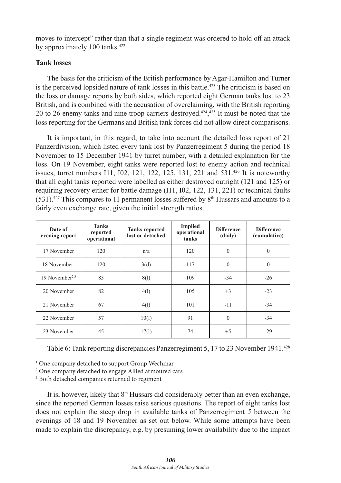moves to intercept" rather than that a single regiment was ordered to hold off an attack by approximately 100 tanks.<sup>422</sup>

# **Tank losses**

The basis for the criticism of the British performance by Agar-Hamilton and Turner is the perceived lopsided nature of tank losses in this battle.<sup>423</sup> The criticism is based on the loss or damage reports by both sides, which reported eight German tanks lost to 23 British, and is combined with the accusation of overclaiming, with the British reporting 20 to 26 enemy tanks and nine troop carriers destroyed.424, <sup>425</sup> It must be noted that the loss reporting for the Germans and British tank forces did not allow direct comparisons.

It is important, in this regard, to take into account the detailed loss report of 21 Panzerdivision, which listed every tank lost by Panzerregiment 5 during the period 18 November to 15 December 1941 by turret number, with a detailed explanation for the loss. On 19 November, eight tanks were reported lost to enemy action and technical issues, turret numbers I11, I02, 121, 122, 125, 131, 221 and 531.426 It is noteworthy that all eight tanks reported were labelled as either destroyed outright (121 and 125) or requiring recovery either for battle damage (I11, I02, 122, 131, 221) or technical faults  $(531).$ <sup>427</sup> This compares to 11 permanent losses suffered by 8<sup>th</sup> Hussars and amounts to a fairly even exchange rate, given the initial strength ratios.

| Date of<br>evening report  | <b>Tanks</b><br>reported<br>operational | <b>Tanks reported</b><br>lost or detached | <b>Implied</b><br>operational<br>tanks | <b>Difference</b><br>(daily) | <b>Difference</b><br>(cumulative) |
|----------------------------|-----------------------------------------|-------------------------------------------|----------------------------------------|------------------------------|-----------------------------------|
| 17 November                | 120                                     | n/a                                       | 120                                    | $\theta$                     | $\mathbf{0}$                      |
| 18 November <sup>1</sup>   | 120                                     | 3(d)                                      | 117                                    | $\theta$                     | $\mathbf{0}$                      |
| 19 November <sup>2,3</sup> | 83                                      | 8(1)                                      | 109                                    | $-34$                        | $-26$                             |
| 20 November                | 82                                      | 4(1)                                      | 105                                    | $+3$                         | $-23$                             |
| 21 November                | 67                                      | 4(1)                                      | 101                                    | $-11$                        | $-34$                             |
| 22 November                | 57                                      | 10(1)                                     | 91                                     | $\theta$                     | $-34$                             |
| 23 November                | 45                                      | 17(1)                                     | 74                                     | $+5$                         | $-29$                             |

Table 6: Tank reporting discrepancies Panzerregiment 5, 17 to 23 November 1941.428

<sup>1</sup> One company detached to support Group Wechmar

2 One company detached to engage Allied armoured cars

3 Both detached companies returned to regiment

It is, however, likely that  $8<sup>th</sup>$  Hussars did considerably better than an even exchange, since the reported German losses raise serious questions. The report of eight tanks lost does not explain the steep drop in available tanks of Panzerregiment *5* between the evenings of 18 and 19 November as set out below. While some attempts have been made to explain the discrepancy, e.g. by presuming lower availability due to the impact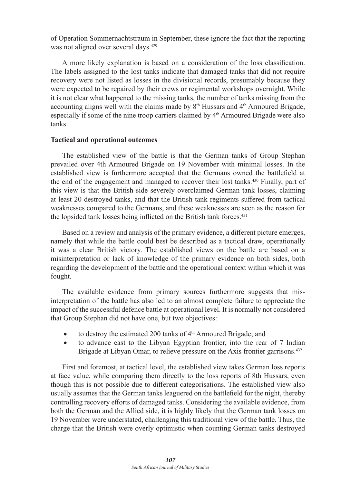of Operation Sommernachtstraum in September, these ignore the fact that the reporting was not aligned over several days.<sup>429</sup>

A more likely explanation is based on a consideration of the loss classification. The labels assigned to the lost tanks indicate that damaged tanks that did not require recovery were not listed as losses in the divisional records, presumably because they were expected to be repaired by their crews or regimental workshops overnight. While it is not clear what happened to the missing tanks, the number of tanks missing from the accounting aligns well with the claims made by  $8<sup>th</sup>$  Hussars and  $4<sup>th</sup>$  Armoured Brigade, especially if some of the nine troop carriers claimed by 4<sup>th</sup> Armoured Brigade were also tanks.

# **Tactical and operational outcomes**

The established view of the battle is that the German tanks of Group Stephan prevailed over 4th Armoured Brigade on 19 November with minimal losses. In the established view is furthermore accepted that the Germans owned the battlefield at the end of the engagement and managed to recover their lost tanks.430 Finally, part of this view is that the British side severely overclaimed German tank losses, claiming at least 20 destroyed tanks, and that the British tank regiments suffered from tactical weaknesses compared to the Germans, and these weaknesses are seen as the reason for the lopsided tank losses being inflicted on the British tank forces.<sup>431</sup>

Based on a review and analysis of the primary evidence, a different picture emerges, namely that while the battle could best be described as a tactical draw, operationally it was a clear British victory. The established views on the battle are based on a misinterpretation or lack of knowledge of the primary evidence on both sides, both regarding the development of the battle and the operational context within which it was fought.

The available evidence from primary sources furthermore suggests that misinterpretation of the battle has also led to an almost complete failure to appreciate the impact of the successful defence battle at operational level. It is normally not considered that Group Stephan did not have one, but two objectives:

- to destroy the estimated 200 tanks of  $4<sup>th</sup>$  Armoured Brigade; and
- • to advance east to the Libyan–Egyptian frontier, into the rear of 7 Indian Brigade at Libyan Omar, to relieve pressure on the Axis frontier garrisons.<sup>432</sup>

First and foremost, at tactical level, the established view takes German loss reports at face value, while comparing them directly to the loss reports of 8th Hussars, even though this is not possible due to different categorisations. The established view also usually assumes that the German tanks leaguered on the battlefield for the night, thereby controlling recovery efforts of damaged tanks. Considering the available evidence, from both the German and the Allied side, it is highly likely that the German tank losses on 19 November were understated, challenging this traditional view of the battle. Thus, the charge that the British were overly optimistic when counting German tanks destroyed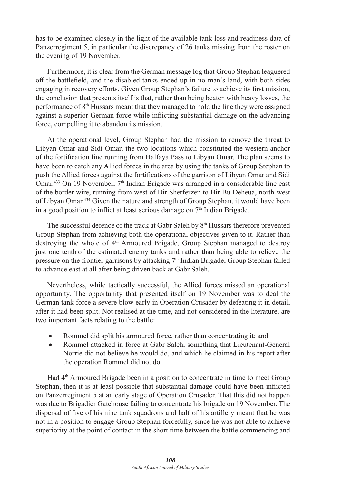has to be examined closely in the light of the available tank loss and readiness data of Panzerregiment 5, in particular the discrepancy of 26 tanks missing from the roster on the evening of 19 November.

Furthermore, it is clear from the German message log that Group Stephan leaguered off the battlefield, and the disabled tanks ended up in no-man's land, with both sides engaging in recovery efforts. Given Group Stephan's failure to achieve its first mission, the conclusion that presents itself is that, rather than being beaten with heavy losses, the performance of  $8<sup>th</sup>$  Hussars meant that they managed to hold the line they were assigned against a superior German force while inflicting substantial damage on the advancing force, compelling it to abandon its mission.

At the operational level, Group Stephan had the mission to remove the threat to Libyan Omar and Sidi Omar, the two locations which constituted the western anchor of the fortification line running from Halfaya Pass to Libyan Omar. The plan seems to have been to catch any Allied forces in the area by using the tanks of Group Stephan to push the Allied forces against the fortifications of the garrison of Libyan Omar and Sidi Omar.<sup>433</sup> On 19 November, 7<sup>th</sup> Indian Brigade was arranged in a considerable line east of the border wire, running from west of Bir Sherferzen to Bir Bu Deheua, north-west of Libyan Omar.434 Given the nature and strength of Group Stephan, it would have been in a good position to inflict at least serious damage on  $7<sup>th</sup>$  Indian Brigade.

The successful defence of the track at Gabr Saleh by 8<sup>th</sup> Hussars therefore prevented Group Stephan from achieving both the operational objectives given to it. Rather than destroying the whole of 4<sup>th</sup> Armoured Brigade, Group Stephan managed to destroy just one tenth of the estimated enemy tanks and rather than being able to relieve the pressure on the frontier garrisons by attacking  $7<sup>th</sup>$  Indian Brigade, Group Stephan failed to advance east at all after being driven back at Gabr Saleh.

Nevertheless, while tactically successful, the Allied forces missed an operational opportunity. The opportunity that presented itself on 19 November was to deal the German tank force a severe blow early in Operation Crusader by defeating it in detail, after it had been split. Not realised at the time, and not considered in the literature, are two important facts relating to the battle:

- Rommel did split his armoured force, rather than concentrating it; and
- Rommel attacked in force at Gabr Saleh, something that Lieutenant-General Norrie did not believe he would do, and which he claimed in his report after the operation Rommel did not do.

Had 4<sup>th</sup> Armoured Brigade been in a position to concentrate in time to meet Group Stephan, then it is at least possible that substantial damage could have been inflicted on Panzerregiment 5 at an early stage of Operation Crusader. That this did not happen was due to Brigadier Gatehouse failing to concentrate his brigade on 19 November. The dispersal of five of his nine tank squadrons and half of his artillery meant that he was not in a position to engage Group Stephan forcefully, since he was not able to achieve superiority at the point of contact in the short time between the battle commencing and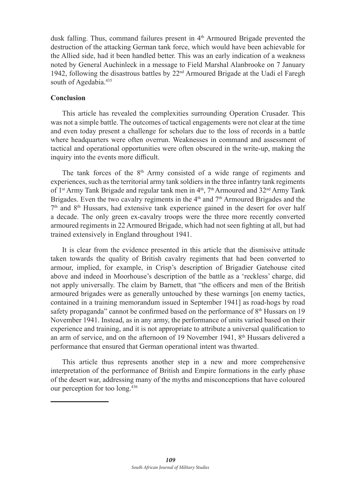dusk falling. Thus, command failures present in  $4<sup>th</sup>$  Armoured Brigade prevented the destruction of the attacking German tank force, which would have been achievable for the Allied side, had it been handled better. This was an early indication of a weakness noted by General Auchinleck in a message to Field Marshal Alanbrooke on 7 January 1942, following the disastrous battles by 22nd Armoured Brigade at the Uadi el Faregh south of Agedabia.<sup>435</sup>

# **Conclusion**

This article has revealed the complexities surrounding Operation Crusader. This was not a simple battle. The outcomes of tactical engagements were not clear at the time and even today present a challenge for scholars due to the loss of records in a battle where headquarters were often overrun. Weaknesses in command and assessment of tactical and operational opportunities were often obscured in the write-up, making the inquiry into the events more difficult.

The tank forces of the  $8<sup>th</sup>$  Army consisted of a wide range of regiments and experiences, such as the territorial army tank soldiers in the three infantry tank regiments of 1<sup>st</sup> Army Tank Brigade and regular tank men in  $4<sup>th</sup>$ ,  $7<sup>th</sup>$  Armoured and  $32<sup>nd</sup>$  Army Tank Brigades. Even the two cavalry regiments in the  $4<sup>th</sup>$  and  $7<sup>th</sup>$  Armoured Brigades and the  $7<sup>th</sup>$  and  $8<sup>th</sup>$  Hussars, had extensive tank experience gained in the desert for over half a decade. The only green ex-cavalry troops were the three more recently converted armoured regiments in 22 Armoured Brigade, which had not seen fighting at all, but had trained extensively in England throughout 1941.

It is clear from the evidence presented in this article that the dismissive attitude taken towards the quality of British cavalry regiments that had been converted to armour, implied, for example, in Crisp's description of Brigadier Gatehouse cited above and indeed in Moorhouse's description of the battle as a 'reckless' charge, did not apply universally. The claim by Barnett, that "the officers and men of the British armoured brigades were as generally untouched by these warnings [on enemy tactics, contained in a training memorandum issued in September 1941] as road-hogs by road safety propaganda" cannot be confirmed based on the performance of 8<sup>th</sup> Hussars on 19 November 1941. Instead, as in any army, the performance of units varied based on their experience and training, and it is not appropriate to attribute a universal qualification to an arm of service, and on the afternoon of 19 November 1941,  $8<sup>th</sup>$  Hussars delivered a performance that ensured that German operational intent was thwarted.

This article thus represents another step in a new and more comprehensive interpretation of the performance of British and Empire formations in the early phase of the desert war, addressing many of the myths and misconceptions that have coloured our perception for too long.436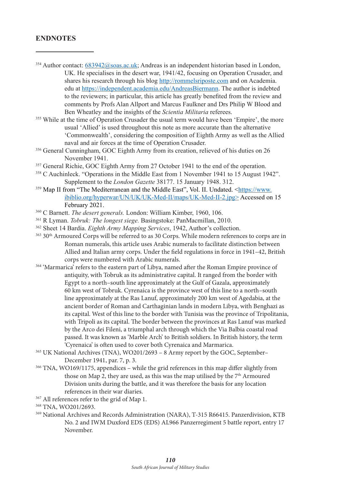# **ENDNOTES**

- 354 Author contact: 683942@soas.ac.uk; Andreas is an independent historian based in London, UK. He specialises in the desert war, 1941/42, focusing on Operation Crusader, and shares his research through his blog http://rommelsriposte.com and on Academia. edu at https://independent.academia.edu/AndreasBiermann. The author is indebted to the reviewers; in particular, this article has greatly benefited from the review and comments by Profs Alan Allport and Marcus Faulkner and Drs Philip W Blood and Ben Wheatley and the insights of the *Scientia Militaria* referees.
- <sup>355</sup> While at the time of Operation Crusader the usual term would have been 'Empire', the more usual 'Allied' is used throughout this note as more accurate than the alternative 'Commonwealth', considering the composition of Eighth Army as well as the Allied naval and air forces at the time of Operation Crusader.
- 356 General Cunningham, GOC Eighth Army from its creation, relieved of his duties on 26 November 1941.
- <sup>357</sup> General Richie, GOC Eighth Army from 27 October 1941 to the end of the operation.
- <sup>358</sup> C Auchinleck. "Operations in the Middle East from 1 November 1941 to 15 August 1942". Supplement to the *London Gazette* 38177. 15 January 1948. 312.
- <sup>359</sup> Map II from "The Mediterranean and the Middle East", Vol. II. Undated. <https://www. ibiblio.org/hyperwar/UN/UK/UK-Med-II/maps/UK-Med-II-2.jpg> Accessed on 15 February 2021.
- 360 C Barnett. *The desert generals.* London: William Kimber, 1960, 106.
- 361 R Lyman. *Tobruk: The longest siege.* Basingstoke: PanMacmillan, 2010.
- 362 Sheet 14 Bardia. *Eighth Army Mapping Services*, 1942, Author's collection.
- <sup>363</sup> 30th Armoured Corps will be referred to as 30 Corps. While modern references to corps are in Roman numerals, this article uses Arabic numerals to facilitate distinction between Allied and Italian army corps. Under the field regulations in force in 1941–42, British corps were numbered with Arabic numerals.
- <sup>364</sup> 'Marmarica' refers to the eastern part of Libya, named after the Roman Empire province of antiquity, with Tobruk as its administrative capital. It ranged from the border with Egypt to a north–south line approximately at the Gulf of Gazala, approximately 60 km west of Tobruk. Cyrenaica is the province west of this line to a north–south line approximately at the Ras Lanuf, approximately 200 km west of Agedabia, at the ancient border of Roman and Carthaginian lands in modern Libya, with Benghazi as its capital. West of this line to the border with Tunisia was the province of Tripolitania, with Tripoli as its capital. The border between the provinces at Ras Lanuf was marked by the Arco dei Fileni, a triumphal arch through which the Via Balbia coastal road passed. It was known as 'Marble Arch' to British soldiers. In British history, the term 'Cyrenaica' is often used to cover both Cyrenaica and Marmarica.
- <sup>365</sup> UK National Archives (TNA), WO201/2693 8 Army report by the GOC, September– December 1941, par. 7, p. 3.
- <sup>366</sup> TNA, WO169/1175, appendices while the grid references in this map differ slightly from those on Map 2, they are used, as this was the map utilised by the  $7<sup>th</sup>$  Armoured Division units during the battle, and it was therefore the basis for any location references in their war diaries.
- <sup>367</sup> All references refer to the grid of Map 1.

<sup>369</sup> National Archives and Records Administration (NARA), T-315 R66415. Panzerdivision, KTB No. 2 and IWM Duxford EDS (EDS) AL966 Panzerregiment 5 battle report, entry 17 November.

<sup>368</sup> TNA, WO201/2693.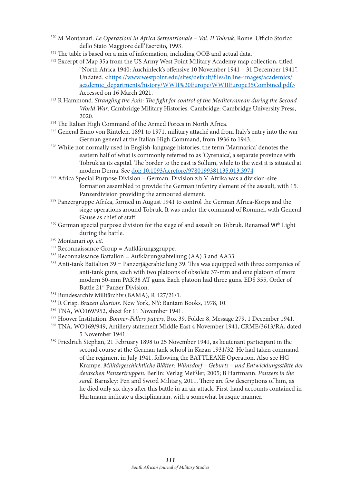- <sup>370</sup> M Montanari. *Le Operazioni in Africa Settentrionale Vol. II Tobruk.* Rome: Ufficio Storico dello Stato Maggiore dell'Esercito, 1993.
- <sup>371</sup> The table is based on a mix of information, including OOB and actual data.
- <sup>372</sup> Excerpt of Map 35a from the US Army West Point Military Academy map collection, titled "North Africa 1940: Auchinleck's offensive 10 November 1941 – 31 December 1941". Undated. <https://www.westpoint.edu/sites/default/files/inline-images/academics/ academic\_departments/history/WWII%20Europe/WWIIEurope35Combined.pdf> Accessed on 16 March 2021.
- <sup>373</sup> R Hammond. *Strangling the Axis: The fight for control of the Mediterranean during the Second World War*. Cambridge Military Histories. Cambridge: Cambridge University Press, 2020.
- <sup>374</sup> The Italian High Command of the Armed Forces in North Africa.
- <sup>375</sup> General Enno von Rintelen, 1891 to 1971, military attaché and from Italy's entry into the war German general at the Italian High Command, from 1936 to 1943.
- <sup>376</sup> While not normally used in English-language histories, the term 'Marmarica' denotes the eastern half of what is commonly referred to as 'Cyrenaica', a separate province with Tobruk as its capital. The border to the east is Sollum, while to the west it is situated at modern Derna. See doi: 10.1093/acrefore/9780199381135.013.3974
- <sup>377</sup> Africa Special Purpose Division German: Division z.b.V. Afrika was a division-size formation assembled to provide the German infantry element of the assault, with 15*.*  Panzerdivision providing the armoured element.
- <sup>378</sup> Panzergruppe Afrika, formed in August 1941 to control the German Africa-Korps and the siege operations around Tobruk. It was under the command of Rommel, with General Gause as chief of staff.
- <sup>379</sup> German special purpose division for the siege of and assault on Tobruk. Renamed 90<sup>th</sup> Light during the battle.
- <sup>380</sup> Montanari *op. cit*.
- <sup>381</sup> Reconnaissance Group = Aufklärungsgruppe.
- $382$  Reconnaissance Battalion = Aufklärungsabteilung (AA) 3 and AA33.
- <sup>383</sup> Anti-tank Battalion 39 = Panzerjägerabteilung 39. This was equipped with three companies of anti-tank guns, each with two platoons of obsolete 37-mm and one platoon of more modern 50-mm PAK38 AT guns. Each platoon had three guns. EDS 355, Order of Battle 21st Panzer Division.
- <sup>384</sup> Bundesarchiv Militärchiv (BAMA), RH27/21/1.
- <sup>385</sup> R Crisp. *Brazen chariots.* New York, NY: Bantam Books, 1978, 10.
- <sup>386</sup> TNA, WO169/952, sheet for 11 November 1941.
- <sup>387</sup> Hoover Institution. *Bonner-Fellers papers*, Box 39, Folder 8, Message 279, 1 December 1941.
- <sup>388</sup> TNA, WO169/949, Artillery statement Middle East 4 November 1941, CRME/3613/RA, dated 5 November 1941.
- <sup>389</sup> Friedrich Stephan, 21 February 1898 to 25 November 1941, as lieutenant participant in the second course at the German tank school in Kazan 1931/32. He had taken command of the regiment in July 1941, following the BATTLEAXE Operation. Also see HG Krampe. *Militärgeschichtliche Blätter: Wünsdorf – Geburts – und Entwicklungsstätte der deutschen Panzertruppen.* Berlin: Verlag Meißler, 2005; B Hartmann. *Panzers in the sand.* Barnsley: Pen and Sword Military, 2011. There are few descriptions of him, as he died only six days after this battle in an air attack. First-hand accounts contained in Hartmann indicate a disciplinarian, with a somewhat brusque manner.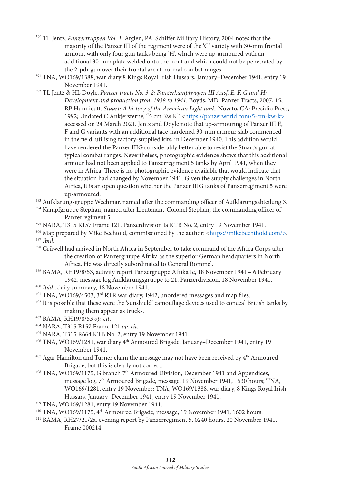- <sup>390</sup> TL Jentz. *Panzertruppen Vol. 1.* Atglen, PA: Schiffer Military History, 2004 notes that the majority of the Panzer III of the regiment were of the 'G' variety with 30-mm frontal armour, with only four gun tanks being 'H', which were up-armoured with an additional 30-mm plate welded onto the front and which could not be penetrated by the 2-pdr gun over their frontal arc at normal combat ranges.
- <sup>391</sup> TNA, WO169/1388, war diary 8 Kings Royal Irish Hussars, January–December 1941, entry 19 November 1941.
- 392 TL Jentz & HL Doyle. *Panzer tracts No. 3-2: Panzerkampfwagen III Ausf. E, F, G und H: Development and production from 1938 to 1941.* Boyds, MD: Panzer Tracts, 2007, 15; RP Hunnicutt. *Stuart: A history of the American Light tank.* Novato, CA: Presidio Press, 1992; Undated C Ankjersterne, "5 cm Kw K". <https://panzerworld.com/5-cm-kw-k> accessed on 24 March 2021. Jentz and Doyle note that up-armouring of Panzer III E, F and G variants with an additional face-hardened 30-mm armour slab commenced in the field, utilising factory-supplied kits, in December 1940. This addition would have rendered the Panzer IIIG considerably better able to resist the Stuart's gun at typical combat ranges. Nevertheless, photographic evidence shows that this additional armour had not been applied to Panzerregiment 5 tanks by April 1941, when they were in Africa. There is no photographic evidence available that would indicate that the situation had changed by November 1941. Given the supply challenges in North Africa, it is an open question whether the Panzer IIIG tanks of Panzerregiment 5 were up-armoured.
- <sup>393</sup> Aufklärungsgruppe Wechmar, named after the commanding officer of Aufklärungsabteilung 3.
- <sup>394</sup> Kampfgruppe Stephan, named after Lieutenant-Colonel Stephan, the commanding officer of Panzerregiment 5.
- 395 NARA, T315 R157 Frame 121. Panzerdivision Ia KTB No. 2, entry 19 November 1941.
- $396$  Map prepared by Mike Bechtold, commissioned by the author: <https://mikebechthold.com/>. <sup>397</sup> *Ibid*.
- 398 Crüwell had arrived in North Africa in September to take command of the Africa Corps after the creation of Panzergruppe Afrika as the superior German headquarters in North Africa. He was directly subordinated to General Rommel.
- <sup>399</sup> BAMA, RH19/8/53, activity report Panzergruppe Afrika Ic, 18 November 1941 6 February<br>1942, message log Aufklärungsgruppe to 21. Panzerdivision, 18 November 1941.
- 
- <sup>400</sup> *Ibid.*, daily summary, 18 November 1941.<br><sup>401</sup> TNA, WO169/4503, 3<sup>rd</sup> RTR war diary, 1942, unordered messages and map files.
- 402 It is possible that these were the 'sunshield' camouflage devices used to conceal British tanks by making them appear as trucks.<br> $^{403}$  BAMA. RH19/8/53  $\emph{op. cit.}$
- 
- 403 BAMA, RH19/8/53 *op. cit*. 404 NARA, T315 R157 Frame 121 *op. cit.*
- 405 NARA, T315 R664 KTB No. 2, entry 19 November 1941.
- <sup>406</sup> TNA, WO169/1281, war diary 4<sup>th</sup> Armoured Brigade, January–December 1941, entry 19 November 1941.
- $407$  Agar Hamilton and Turner claim the message may not have been received by  $4<sup>th</sup>$  Armoured Brigade, but this is clearly not correct.
- 408 TNA, WO169/1175, G branch 7th Armoured Division, December 1941 and Appendices, message log, 7th Armoured Brigade, message, 19 November 1941, 1530 hours; TNA, WO169/1281, entry 19 November; TNA, WO169/1388, war diary, 8 Kings Royal Irish Hussars, January–December 1941, entry 19 November 1941.
- 409 TNA, WO169/1281, entry 19 November 1941.
- 410 TNA, WO169/1175, 4th Armoured Brigade, message, 19 November 1941, 1602 hours.
- 411 BAMA, RH27/21/2a, evening report by Panzerregiment 5, 0240 hours, 20 November 1941, Frame 000214.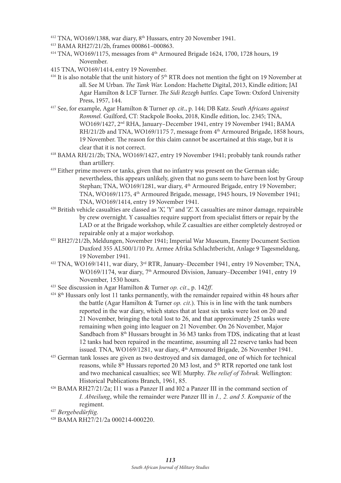- $412$  TNA, WO169/1388, war diary,  $8<sup>th</sup>$  Hussars, entry 20 November 1941.
- 413 BAMA RH27/21/2b, frames 000861–000863.
- $414$  TNA, WO169/1175, messages from  $4<sup>th</sup>$  Armoured Brigade 1624, 1700, 1728 hours, 19 November.
- 415 TNA, WO169/1414, entry 19 November.
- <sup>416</sup> It is also notable that the unit history of  $5<sup>th</sup> RTR$  does not mention the fight on 19 November at all. See M Urban. *The Tank War.* London: Hachette Digital, 2013, Kindle edition; JAI Agar Hamilton & LCF Turner. *The Sidi Rezegh battles.* Cape Town: Oxford University Press, 1957, 144.
- 417 See, for example, Agar Hamilton & Turner *op. cit*., p. 144; DB Katz. *South Africans against Rommel.* Guilford, CT: Stackpole Books, 2018, Kindle edition, loc. 2345; TNA, WO169/1427, 2nd RHA, January–December 1941, entry 19 November 1941; BAMA RH/21/2b and TNA, WO169/1175 7, message from 4<sup>th</sup> Armoured Brigade, 1858 hours, 19 November. The reason for this claim cannot be ascertained at this stage, but it is clear that it is not correct.
- 418 BAMA RH/21/2b; TNA, WO169/1427, entry 19 November 1941; probably tank rounds rather than artillery.
- <sup>419</sup> Either prime movers or tanks, given that no infantry was present on the German side; nevertheless, this appears unlikely, given that no guns seem to have been lost by Group Stephan; TNA, WO169/1281, war diary, 4<sup>th</sup> Armoured Brigade, entry 19 November; TNA, WO169/1175, 4th Armoured Brigade, message, 1945 hours, 19 November 1941; TNA, WO169/1414, entry 19 November 1941.
- 420 British vehicle casualties are classed as 'X', 'Y' and 'Z'. X casualties are minor damage, repairable by crew overnight. Y casualties require support from specialist fitters or repair by the LAD or at the Brigade workshop, while Z casualties are either completely destroyed or repairable only at a major workshop.
- 421 RH27/21/2b, Meldungen, November 1941; Imperial War Museum, Enemy Document Section Duxford 355 AL500/1/10 Pz. Armee Afrika Schlachtbericht, Anlage 9 Tagesmeldung, 19 November 1941.
- $422$  TNA, WO169/1411, war diary,  $3<sup>rd</sup>$  RTR, January–December 1941, entry 19 November; TNA, WO169/1174, war diary, 7<sup>th</sup> Armoured Division, January–December 1941, entry 19 November, 1530 hours.
- <sup>423</sup> See discussion in Agar Hamilton & Turner *op. cit*., p. 142*ff*.
- <sup>424</sup> 8<sup>th</sup> Hussars only lost 11 tanks permanently, with the remainder repaired within 48 hours after the battle (Agar Hamilton & Turner *op. cit*.). This is in line with the tank numbers reported in the war diary, which states that at least six tanks were lost on 20 and 21 November, bringing the total lost to 26, and that approximately 25 tanks were remaining when going into leaguer on 21 November. On 26 November, Major Sandbach from 8<sup>th</sup> Hussars brought in 36 M3 tanks from TDS, indicating that at least 12 tanks had been repaired in the meantime, assuming all 22 reserve tanks had been issued. TNA, WO169/1281, war diary, 4<sup>th</sup> Armoured Brigade, 26 November 1941.
- <sup>425</sup> German tank losses are given as two destroyed and six damaged, one of which for technical reasons, while 8<sup>th</sup> Hussars reported 20 M3 lost, and 5<sup>th</sup> RTR reported one tank lost and two mechanical casualties; see WE Murphy. *The relief of Tobruk.* Wellington: Historical Publications Branch, 1961, 85.
- <sup>426</sup> BAMA RH27/21/2a; I11 was a Panzer II and I02 a Panzer III in the command section of *I. Abteilung*, while the remainder were Panzer III in *1., 2. and 5. Kompanie* of the regiment.
- <sup>427</sup> *Bergebedürftig.*
- 428 BAMA RH27/21/2a 000214-000220.